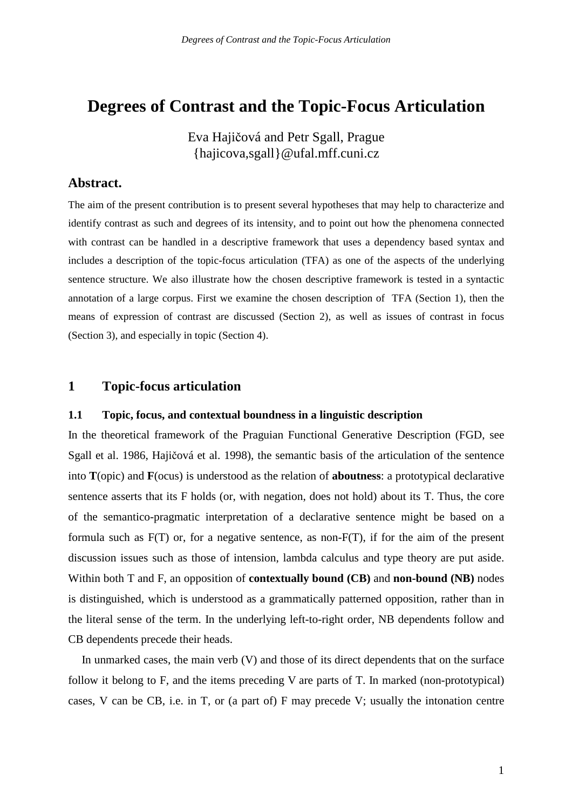# **Degrees of Contrast and the Topic-Focus Articulation**

Eva Hajičová and Petr Sgall, Prague {hajicova,sgall}@ufal.mff.cuni.cz

## **Abstract.**

The aim of the present contribution is to present several hypotheses that may help to characterize and identify contrast as such and degrees of its intensity, and to point out how the phenomena connected with contrast can be handled in a descriptive framework that uses a dependency based syntax and includes a description of the topic-focus articulation (TFA) as one of the aspects of the underlying sentence structure. We also illustrate how the chosen descriptive framework is tested in a syntactic annotation of a large corpus. First we examine the chosen description of TFA (Section 1), then the means of expression of contrast are discussed (Section 2), as well as issues of contrast in focus (Section 3), and especially in topic (Section 4).

# **1 Topic-focus articulation**

#### **1.1 Topic, focus, and contextual boundness in a linguistic description**

In the theoretical framework of the Praguian Functional Generative Description (FGD, see Sgall et al. 1986, Hajičová et al. 1998), the semantic basis of the articulation of the sentence into **T**(opic) and **F**(ocus) is understood as the relation of **aboutness**: a prototypical declarative sentence asserts that its F holds (or, with negation, does not hold) about its T. Thus, the core of the semantico-pragmatic interpretation of a declarative sentence might be based on a formula such as F(T) or, for a negative sentence, as non-F(T), if for the aim of the present discussion issues such as those of intension, lambda calculus and type theory are put aside. Within both T and F, an opposition of **contextually bound (CB)** and **non-bound (NB)** nodes is distinguished, which is understood as a grammatically patterned opposition, rather than in the literal sense of the term. In the underlying left-to-right order, NB dependents follow and CB dependents precede their heads.

In unmarked cases, the main verb (V) and those of its direct dependents that on the surface follow it belong to F, and the items preceding V are parts of T. In marked (non-prototypical) cases, V can be CB, i.e. in T, or (a part of) F may precede V; usually the intonation centre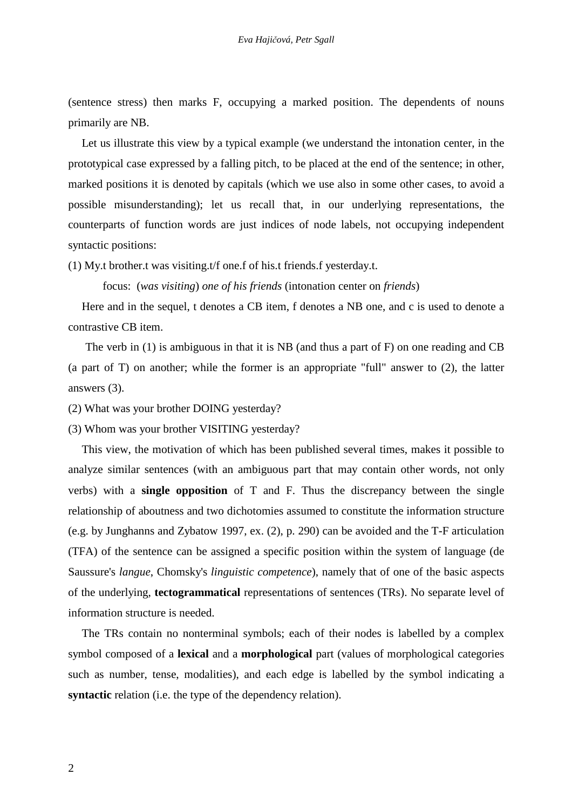(sentence stress) then marks F, occupying a marked position. The dependents of nouns primarily are NB.

Let us illustrate this view by a typical example (we understand the intonation center, in the prototypical case expressed by a falling pitch, to be placed at the end of the sentence; in other, marked positions it is denoted by capitals (which we use also in some other cases, to avoid a possible misunderstanding); let us recall that, in our underlying representations, the counterparts of function words are just indices of node labels, not occupying independent syntactic positions:

(1) My.t brother.t was visiting.t/f one.f of his.t friends.f yesterday.t.

focus: (*was visiting*) *one of his friends* (intonation center on *friends*)

Here and in the sequel, t denotes a CB item, f denotes a NB one, and c is used to denote a contrastive CB item.

The verb in (1) is ambiguous in that it is NB (and thus a part of F) on one reading and CB (a part of T) on another; while the former is an appropriate "full" answer to (2), the latter answers (3).

(2) What was your brother DOING yesterday?

(3) Whom was your brother VISITING yesterday?

This view, the motivation of which has been published several times, makes it possible to analyze similar sentences (with an ambiguous part that may contain other words, not only verbs) with a **single opposition** of T and F. Thus the discrepancy between the single relationship of aboutness and two dichotomies assumed to constitute the information structure (e.g. by Junghanns and Zybatow 1997, ex. (2), p. 290) can be avoided and the T-F articulation (TFA) of the sentence can be assigned a specific position within the system of language (de Saussure's *langue*, Chomsky's *linguistic competence*), namely that of one of the basic aspects of the underlying, **tectogrammatical** representations of sentences (TRs). No separate level of information structure is needed.

The TRs contain no nonterminal symbols; each of their nodes is labelled by a complex symbol composed of a **lexical** and a **morphological** part (values of morphological categories such as number, tense, modalities), and each edge is labelled by the symbol indicating a **syntactic** relation (i.e. the type of the dependency relation).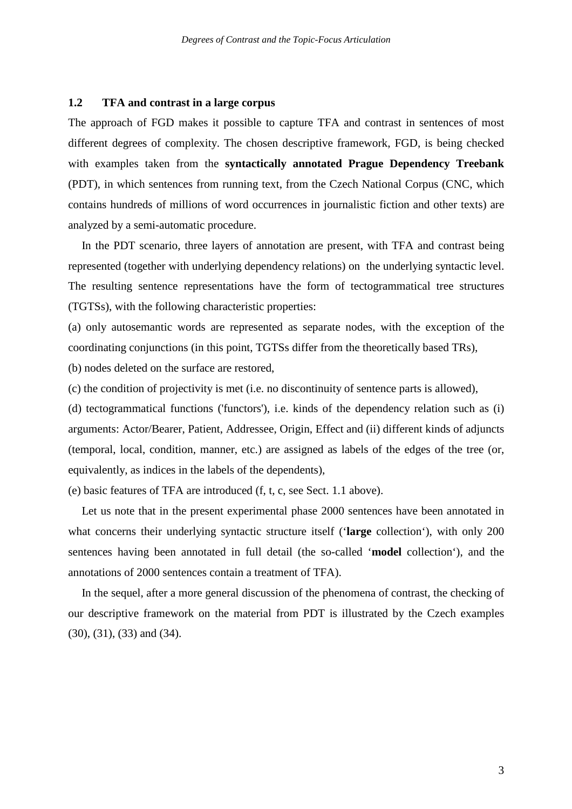#### **1.2 TFA and contrast in a large corpus**

The approach of FGD makes it possible to capture TFA and contrast in sentences of most different degrees of complexity. The chosen descriptive framework, FGD, is being checked with examples taken from the **syntactically annotated Prague Dependency Treebank**  (PDT), in which sentences from running text, from the Czech National Corpus (CNC, which contains hundreds of millions of word occurrences in journalistic fiction and other texts) are analyzed by a semi-automatic procedure.

In the PDT scenario, three layers of annotation are present, with TFA and contrast being represented (together with underlying dependency relations) on the underlying syntactic level. The resulting sentence representations have the form of tectogrammatical tree structures (TGTSs), with the following characteristic properties:

(a) only autosemantic words are represented as separate nodes, with the exception of the coordinating conjunctions (in this point, TGTSs differ from the theoretically based TRs),

(b) nodes deleted on the surface are restored,

(c) the condition of projectivity is met (i.e. no discontinuity of sentence parts is allowed),

(d) tectogrammatical functions ('functors'), i.e. kinds of the dependency relation such as (i) arguments: Actor/Bearer, Patient, Addressee, Origin, Effect and (ii) different kinds of adjuncts (temporal, local, condition, manner, etc.) are assigned as labels of the edges of the tree (or, equivalently, as indices in the labels of the dependents),

(e) basic features of TFA are introduced (f, t, c, see Sect. 1.1 above).

Let us note that in the present experimental phase 2000 sentences have been annotated in what concerns their underlying syntactic structure itself ('**large** collection'), with only 200 sentences having been annotated in full detail (the so-called '**model** collection'), and the annotations of 2000 sentences contain a treatment of TFA).

In the sequel, after a more general discussion of the phenomena of contrast, the checking of our descriptive framework on the material from PDT is illustrated by the Czech examples (30), (31), (33) and (34).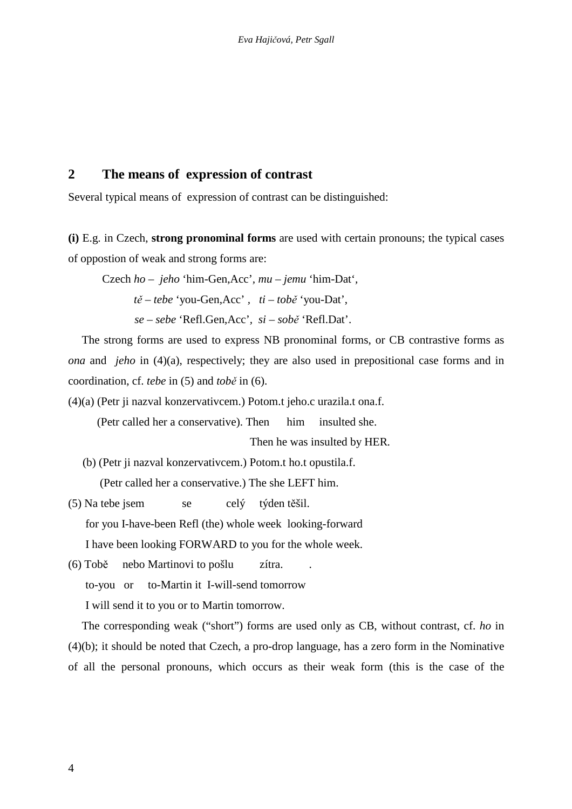# **2 The means of expression of contrast**

Several typical means of expression of contrast can be distinguished:

**(i)** E.g. in Czech, **strong pronominal forms** are used with certain pronouns; the typical cases of oppostion of weak and strong forms are:

Czech *ho – jeho* 'him-Gen,Acc'*, mu – jemu* 'him-Dat'*,* 

 *t*ě *– tebe* 'you-Gen,Acc' *, ti – tob*ě 'you-Dat',

*se – sebe* 'Refl.Gen,Acc'*, si – sob*ě 'Refl.Dat'.

The strong forms are used to express NB pronominal forms, or CB contrastive forms as *ona* and *jeho* in (4)(a), respectively; they are also used in prepositional case forms and in coordination, cf. *tebe* in (5) and *tob*ě in (6).

(4)(a) (Petr ji nazval konzervativcem.) Potom.t jeho.c urazila.t ona.f.

(Petr called her a conservative). Then him insulted she.

Then he was insulted by HER*.* 

(b) (Petr ji nazval konzervativcem.) Potom.t ho.t opustila.f.

(Petr called her a conservative.) The she LEFT him.

(5) Na tebe jsem se celý týden těšil. for you I-have-been Refl (the) whole week looking-forward I have been looking FORWARD to you for the whole week.

(6) Tobě nebo Martinovi to pošlu zítra. .

to-you or to-Martin it I-will-send tomorrow

I will send it to you or to Martin tomorrow.

The corresponding weak ("short") forms are used only as CB, without contrast, cf. *ho* in (4)(b); it should be noted that Czech, a pro-drop language, has a zero form in the Nominative of all the personal pronouns, which occurs as their weak form (this is the case of the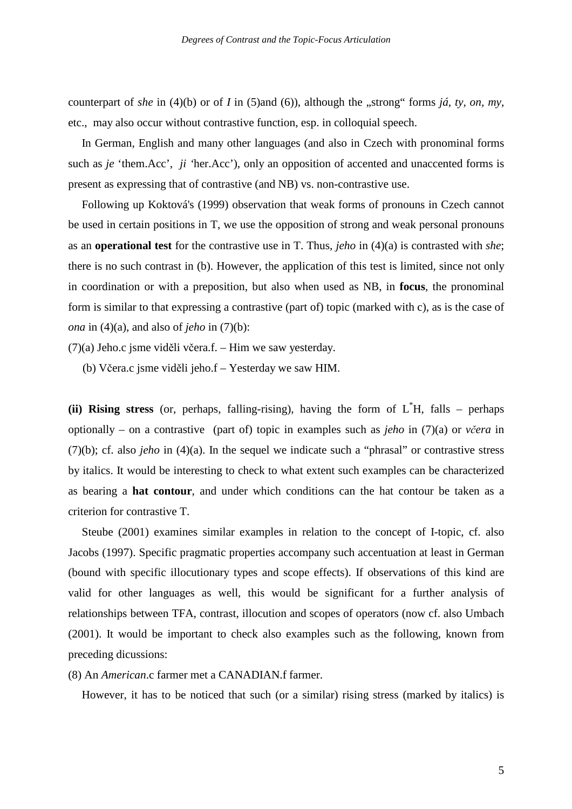counterpart of *she* in (4)(b) or of *I* in (5)and (6)), although the "strong" forms *iá, ty, on, my*, etc., may also occur without contrastive function, esp. in colloquial speech.

In German, English and many other languages (and also in Czech with pronominal forms such as *je* 'them.Acc', *ji '*her.Acc'), only an opposition of accented and unaccented forms is present as expressing that of contrastive (and NB) vs. non-contrastive use.

Following up Koktová's (1999) observation that weak forms of pronouns in Czech cannot be used in certain positions in T, we use the opposition of strong and weak personal pronouns as an **operational test** for the contrastive use in T. Thus, *jeho* in (4)(a) is contrasted with *she*; there is no such contrast in (b). However, the application of this test is limited, since not only in coordination or with a preposition, but also when used as NB, in **focus**, the pronominal form is similar to that expressing a contrastive (part of) topic (marked with c), as is the case of *ona* in (4)(a), and also of *jeho* in (7)(b):

(7)(a) Jeho.c jsme viděli včera.f. – Him we saw yesterday.

(b) Včera.c jsme viděli jeho.f – Yesterday we saw HIM.

**(ii) Rising stress** (or, perhaps, falling-rising), having the form of L\*H, falls – perhaps optionally – on a contrastive (part of) topic in examples such as *jeho* in (7)(a) or *v*č*era* in (7)(b); cf. also *jeho* in (4)(a). In the sequel we indicate such a "phrasal" or contrastive stress by italics. It would be interesting to check to what extent such examples can be characterized as bearing a **hat contour**, and under which conditions can the hat contour be taken as a criterion for contrastive T.

Steube (2001) examines similar examples in relation to the concept of I-topic, cf. also Jacobs (1997). Specific pragmatic properties accompany such accentuation at least in German (bound with specific illocutionary types and scope effects). If observations of this kind are valid for other languages as well, this would be significant for a further analysis of relationships between TFA, contrast, illocution and scopes of operators (now cf. also Umbach (2001). It would be important to check also examples such as the following, known from preceding dicussions:

(8) An *American*.c farmer met a CANADIAN.f farmer.

However, it has to be noticed that such (or a similar) rising stress (marked by italics) is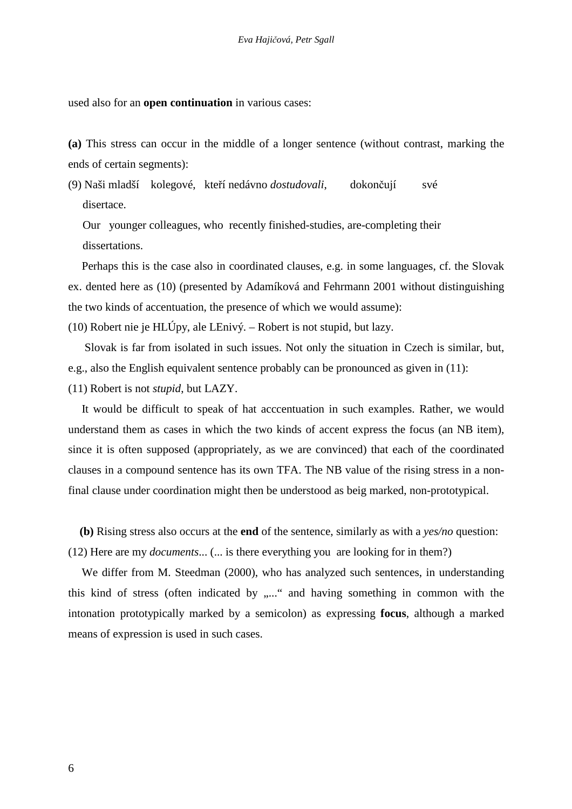used also for an **open continuation** in various cases:

**(a)** This stress can occur in the middle of a longer sentence (without contrast, marking the ends of certain segments):

(9) Naši mladší kolegové, kteří nedávno *dostudovali*, dokončují své disertace.

 Our younger colleagues, who recently finished-studies, are-completing their dissertations.

Perhaps this is the case also in coordinated clauses, e.g. in some languages, cf. the Slovak ex. dented here as (10) (presented by Adamíková and Fehrmann 2001 without distinguishing the two kinds of accentuation, the presence of which we would assume):

(10) Robert nie je HLÚpy, ale LEnivý. – Robert is not stupid, but lazy.

 Slovak is far from isolated in such issues. Not only the situation in Czech is similar, but, e.g., also the English equivalent sentence probably can be pronounced as given in (11):

(11) Robert is not *stupid*, but LAZY.

It would be difficult to speak of hat acccentuation in such examples. Rather, we would understand them as cases in which the two kinds of accent express the focus (an NB item), since it is often supposed (appropriately, as we are convinced) that each of the coordinated clauses in a compound sentence has its own TFA. The NB value of the rising stress in a nonfinal clause under coordination might then be understood as beig marked, non-prototypical.

**(b)** Rising stress also occurs at the **end** of the sentence, similarly as with a *yes/no* question:

(12) Here are my *documents*... (... is there everything you are looking for in them?)

We differ from M. Steedman (2000), who has analyzed such sentences, in understanding this kind of stress (often indicated by ,...." and having something in common with the intonation prototypically marked by a semicolon) as expressing **focus**, although a marked means of expression is used in such cases.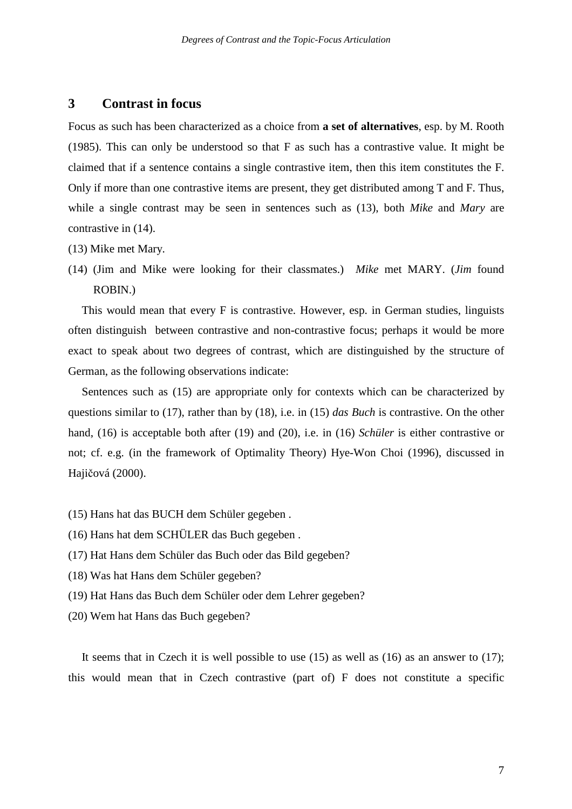#### **3 Contrast in focus**

Focus as such has been characterized as a choice from **a set of alternatives**, esp. by M. Rooth (1985). This can only be understood so that F as such has a contrastive value. It might be claimed that if a sentence contains a single contrastive item, then this item constitutes the F. Only if more than one contrastive items are present, they get distributed among T and F. Thus, while a single contrast may be seen in sentences such as (13), both *Mike* and *Mary* are contrastive in (14).

- (13) Mike met Mary.
- (14) (Jim and Mike were looking for their classmates.) *Mike* met MARY. (*Jim* found ROBIN.)

This would mean that every F is contrastive. However, esp. in German studies, linguists often distinguish between contrastive and non-contrastive focus; perhaps it would be more exact to speak about two degrees of contrast, which are distinguished by the structure of German, as the following observations indicate:

Sentences such as (15) are appropriate only for contexts which can be characterized by questions similar to (17), rather than by (18), i.e. in (15) *das Buch* is contrastive. On the other hand, (16) is acceptable both after (19) and (20), i.e. in (16) *Schüler* is either contrastive or not; cf. e.g. (in the framework of Optimality Theory) Hye-Won Choi (1996), discussed in Hajičová (2000).

- (15) Hans hat das BUCH dem Schüler gegeben .
- (16) Hans hat dem SCHÜLER das Buch gegeben .
- (17) Hat Hans dem Schüler das Buch oder das Bild gegeben?
- (18) Was hat Hans dem Schüler gegeben?
- (19) Hat Hans das Buch dem Schüler oder dem Lehrer gegeben?
- (20) Wem hat Hans das Buch gegeben?

It seems that in Czech it is well possible to use  $(15)$  as well as  $(16)$  as an answer to  $(17)$ ; this would mean that in Czech contrastive (part of) F does not constitute a specific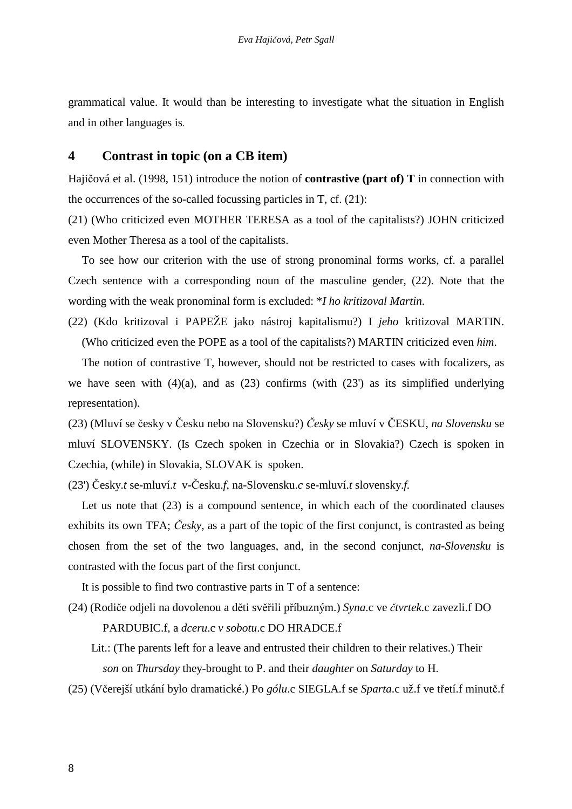grammatical value. It would than be interesting to investigate what the situation in English and in other languages is.

## **4 Contrast in topic (on a CB item)**

Hajičová et al. (1998, 151) introduce the notion of **contrastive (part of) T** in connection with the occurrences of the so-called focussing particles in T, cf. (21):

(21) (Who criticized even MOTHER TERESA as a tool of the capitalists?) JOHN criticized even Mother Theresa as a tool of the capitalists.

To see how our criterion with the use of strong pronominal forms works, cf. a parallel Czech sentence with a corresponding noun of the masculine gender, (22). Note that the wording with the weak pronominal form is excluded: \**I ho kritizoval Martin*.

(22) (Kdo kritizoval i PAPEŽE jako nástroj kapitalismu?) I *jeho* kritizoval MARTIN. (Who criticized even the POPE as a tool of the capitalists?) MARTIN criticized even *him*.

The notion of contrastive T, however, should not be restricted to cases with focalizers, as we have seen with  $(4)(a)$ , and as  $(23)$  confirms (with  $(23')$ ) as its simplified underlying representation).

(23) (Mluví se česky v Česku nebo na Slovensku?) Č*esky* se mluví v ČESKU, *na Slovensku* se mluví SLOVENSKY. (Is Czech spoken in Czechia or in Slovakia?) Czech is spoken in Czechia, (while) in Slovakia, SLOVAK is spoken.

(23') Česky.*t* se-mluví.*t* v-Česku.*f*, na-Slovensku.*c* se-mluví.*t* slovensky.*f.* 

Let us note that (23) is a compound sentence, in which each of the coordinated clauses exhibits its own TFA; Č*esky*, as a part of the topic of the first conjunct, is contrasted as being chosen from the set of the two languages, and, in the second conjunct, *na-Slovensku* is contrasted with the focus part of the first conjunct.

It is possible to find two contrastive parts in T of a sentence:

(24) (Rodiče odjeli na dovolenou a děti svěřili příbuzným.) *Syna*.c ve č*tvrtek*.c zavezli.f DO

PARDUBIC.f, a *dceru*.c *v sobotu*.c DO HRADCE.f

- Lit.: (The parents left for a leave and entrusted their children to their relatives.) Their *son* on *Thursday* they-brought to P. and their *daughter* on *Saturday* to H.
- (25) (Včerejší utkání bylo dramatické.) Po *gólu*.c SIEGLA.f se *Sparta*.c už.f ve třetí.f minutě.f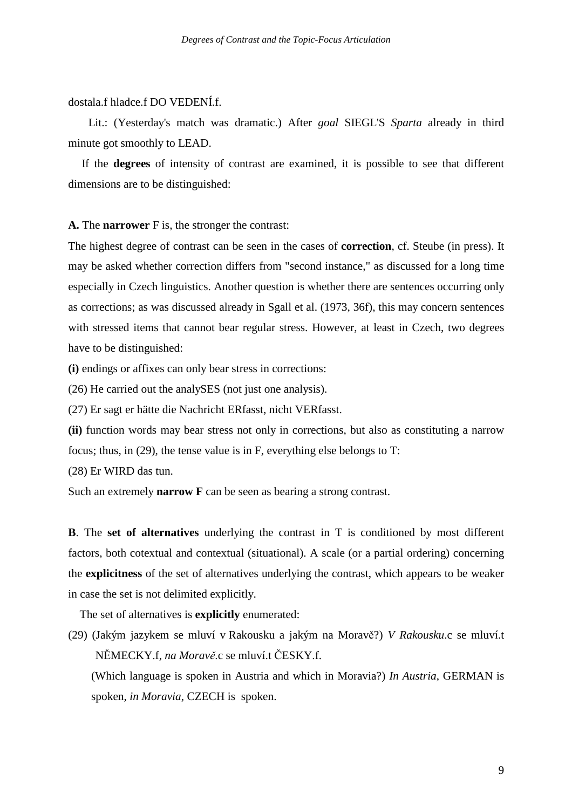#### dostala.f hladce.f DO VEDENÍ.f.

 Lit.: (Yesterday's match was dramatic.) After *goal* SIEGL'S *Sparta* already in third minute got smoothly to LEAD.

If the **degrees** of intensity of contrast are examined, it is possible to see that different dimensions are to be distinguished:

**A.** The **narrower** F is, the stronger the contrast:

The highest degree of contrast can be seen in the cases of **correction**, cf. Steube (in press). It may be asked whether correction differs from "second instance," as discussed for a long time especially in Czech linguistics. Another question is whether there are sentences occurring only as corrections; as was discussed already in Sgall et al. (1973, 36f), this may concern sentences with stressed items that cannot bear regular stress. However, at least in Czech, two degrees have to be distinguished:

**(i)** endings or affixes can only bear stress in corrections:

(26) He carried out the analySES (not just one analysis).

(27) Er sagt er hätte die Nachricht ERfasst, nicht VERfasst.

**(ii)** function words may bear stress not only in corrections, but also as constituting a narrow focus; thus, in (29), the tense value is in F, everything else belongs to T:

(28) Er WIRD das tun.

Such an extremely **narrow F** can be seen as bearing a strong contrast.

**B**. The **set of alternatives** underlying the contrast in T is conditioned by most different factors, both cotextual and contextual (situational). A scale (or a partial ordering) concerning the **explicitness** of the set of alternatives underlying the contrast, which appears to be weaker in case the set is not delimited explicitly.

The set of alternatives is **explicitly** enumerated:

(29) (Jakým jazykem se mluví v Rakousku a jakým na Moravě?) *V Rakousku*.c se mluví.t NĚMECKY.f, *na Morav*ě.c se mluví.t ČESKY.f.

 (Which language is spoken in Austria and which in Moravia?) *In Austria*, GERMAN is spoken, *in Moravia*, CZECH is spoken.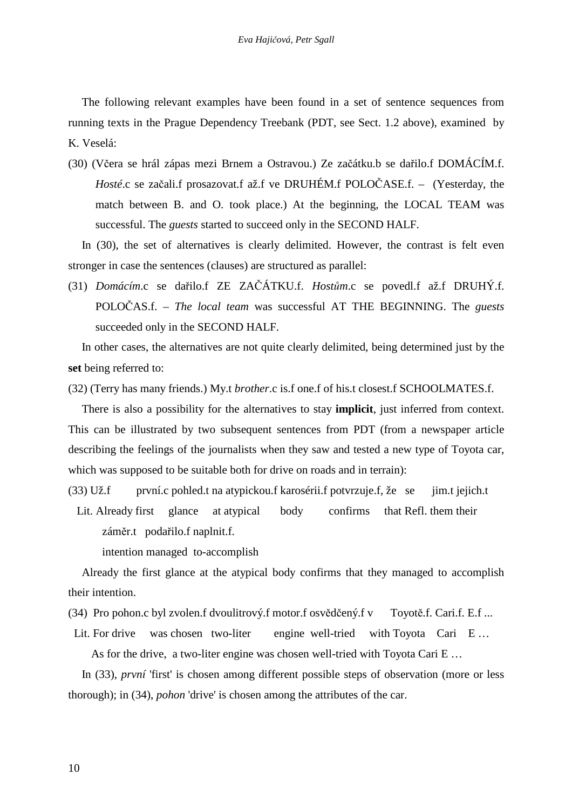The following relevant examples have been found in a set of sentence sequences from running texts in the Prague Dependency Treebank (PDT, see Sect. 1.2 above), examined by K. Veselá:

(30) (Včera se hrál zápas mezi Brnem a Ostravou.) Ze začátku.b se dařilo.f DOMÁCÍM.f. *Hosté*.c se začali.f prosazovat.f až.f ve DRUHÉM.f POLOČASE.f. – (Yesterday, the match between B. and O. took place.) At the beginning, the LOCAL TEAM was successful. The *guests* started to succeed only in the SECOND HALF.

In (30), the set of alternatives is clearly delimited. However, the contrast is felt even stronger in case the sentences (clauses) are structured as parallel:

(31) *Domácím*.c se dařilo.f ZE ZAČÁTKU.f. *Host*ů*m*.c se povedl.f až.f DRUHÝ.f. POLOČAS.f. – *The local team* was successful AT THE BEGINNING. The *guests*  succeeded only in the SECOND HALF.

In other cases, the alternatives are not quite clearly delimited, being determined just by the **set** being referred to:

(32) (Terry has many friends.) My.t *brother*.c is.f one.f of his.t closest.f SCHOOLMATES.f.

There is also a possibility for the alternatives to stay **implicit**, just inferred from context. This can be illustrated by two subsequent sentences from PDT (from a newspaper article describing the feelings of the journalists when they saw and tested a new type of Toyota car, which was supposed to be suitable both for drive on roads and in terrain):

(33) Už.f první.c pohled.t na atypickou.f karosérii.f potvrzuje.f, že se jim.t jejich.t

 Lit. Already first glance at atypical body confirms that Refl. them their záměr.t podařilo.f naplnit.f.

intention managed to-accomplish

Already the first glance at the atypical body confirms that they managed to accomplish their intention.

(34) Pro pohon.c byl zvolen.f dvoulitrový.f motor.f osvědčený.f v Toyotě.f. Cari.f. E.f ...

Lit. For drive was chosen two-liter engine well-tried with Toyota Cari E ... As for the drive, a two-liter engine was chosen well-tried with Toyota Cari E ...

In (33), *první* 'first' is chosen among different possible steps of observation (more or less thorough); in (34), *pohon* 'drive' is chosen among the attributes of the car.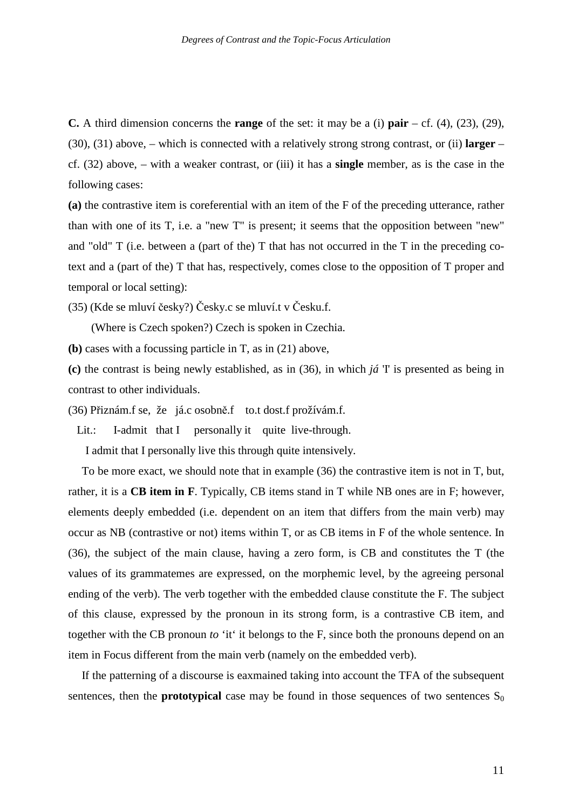**C.** A third dimension concerns the **range** of the set: it may be a (i) **pair** – cf. (4), (23), (29), (30), (31) above, – which is connected with a relatively strong strong contrast, or (ii) **larger** – cf. (32) above, – with a weaker contrast, or (iii) it has a **single** member, as is the case in the following cases:

**(a)** the contrastive item is coreferential with an item of the F of the preceding utterance, rather than with one of its T, i.e. a "new T" is present; it seems that the opposition between "new" and "old" T (i.e. between a (part of the) T that has not occurred in the T in the preceding cotext and a (part of the) T that has, respectively, comes close to the opposition of T proper and temporal or local setting):

(35) (Kde se mluví česky?) Česky.c se mluví.t v Česku.f.

(Where is Czech spoken?) Czech is spoken in Czechia.

**(b)** cases with a focussing particle in T, as in (21) above,

**(c)** the contrast is being newly established, as in (36), in which *já* 'I' is presented as being in contrast to other individuals.

(36) Přiznám.f se, že já.c osobně.f to.t dost.f prožívám.f.

Lit.: I-admit that I personally it quite live-through.

I admit that I personally live this through quite intensively.

To be more exact, we should note that in example (36) the contrastive item is not in T, but, rather, it is a **CB item in F**. Typically, CB items stand in T while NB ones are in F; however, elements deeply embedded (i.e. dependent on an item that differs from the main verb) may occur as NB (contrastive or not) items within T, or as CB items in F of the whole sentence. In (36), the subject of the main clause, having a zero form, is CB and constitutes the T (the values of its grammatemes are expressed, on the morphemic level, by the agreeing personal ending of the verb). The verb together with the embedded clause constitute the F. The subject of this clause, expressed by the pronoun in its strong form, is a contrastive CB item, and together with the CB pronoun *to* 'it' it belongs to the F, since both the pronouns depend on an item in Focus different from the main verb (namely on the embedded verb).

If the patterning of a discourse is eaxmained taking into account the TFA of the subsequent sentences, then the **prototypical** case may be found in those sequences of two sentences  $S_0$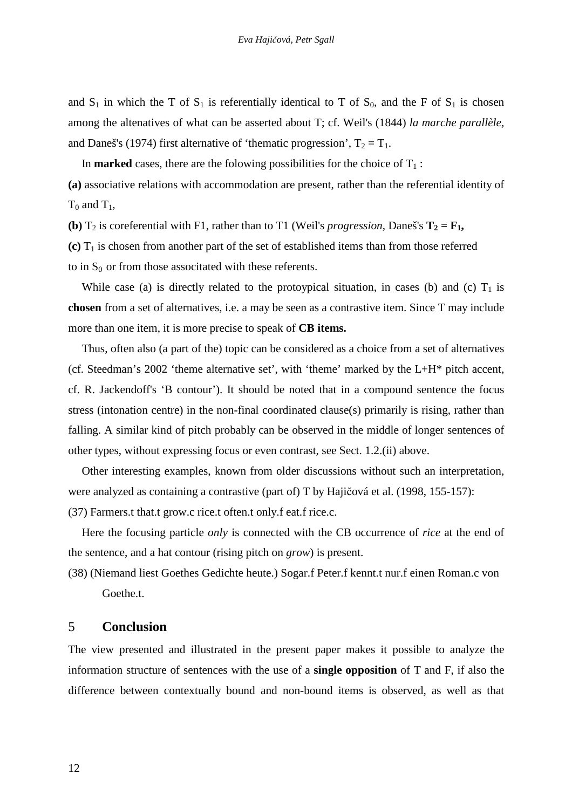and  $S_1$  in which the T of  $S_1$  is referentially identical to T of  $S_0$ , and the F of  $S_1$  is chosen among the altenatives of what can be asserted about T; cf. Weil's (1844) *la marche parallèle,*  and Daneš's (1974) first alternative of 'thematic progression',  $T_2 = T_1$ .

In **marked** cases, there are the folowing possibilities for the choice of  $T_1$ :

**(a)** associative relations with accommodation are present, rather than the referential identity of  $T_0$  and  $T_1$ ,

**(b)**  $T_2$  is coreferential with F1, rather than to T1 (Weil's *progression*, Daneš's  $T_2 = F_1$ ,

 $(c)$  T<sub>1</sub> is chosen from another part of the set of established items than from those referred to in  $S_0$  or from those associtated with these referents.

While case (a) is directly related to the protoypical situation, in cases (b) and (c)  $T_1$  is **chosen** from a set of alternatives, i.e. a may be seen as a contrastive item. Since T may include more than one item, it is more precise to speak of **CB items.**

Thus, often also (a part of the) topic can be considered as a choice from a set of alternatives (cf. Steedman's 2002 'theme alternative set', with 'theme' marked by the L+H\* pitch accent, cf. R. Jackendoff's 'B contour'). It should be noted that in a compound sentence the focus stress (intonation centre) in the non-final coordinated clause(s) primarily is rising, rather than falling. A similar kind of pitch probably can be observed in the middle of longer sentences of other types, without expressing focus or even contrast, see Sect. 1.2.(ii) above.

Other interesting examples, known from older discussions without such an interpretation, were analyzed as containing a contrastive (part of) T by Hajičová et al. (1998, 155-157):

(37) Farmers.t that.t grow.c rice.t often.t only.f eat.f rice.c.

Here the focusing particle *only* is connected with the CB occurrence of *rice* at the end of the sentence, and a hat contour (rising pitch on *grow*) is present.

(38) (Niemand liest Goethes Gedichte heute.) Sogar.f Peter.f kennt.t nur.f einen Roman.c von Goethe.t.

### 5 **Conclusion**

The view presented and illustrated in the present paper makes it possible to analyze the information structure of sentences with the use of a **single opposition** of T and F, if also the difference between contextually bound and non-bound items is observed, as well as that